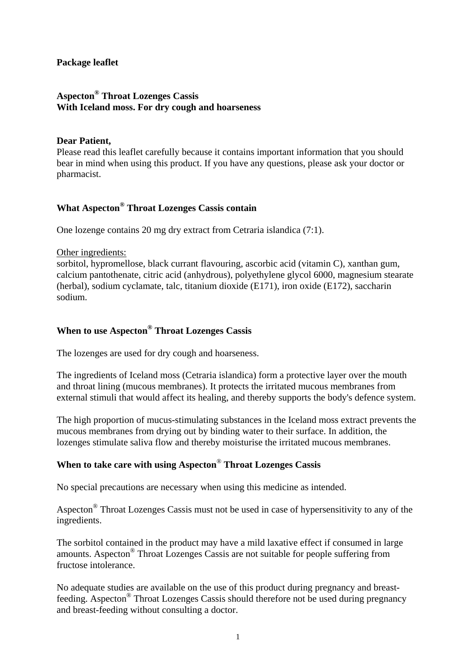#### **Package leaflet**

### **Aspecton® Throat Lozenges Cassis With Iceland moss. For dry cough and hoarseness**

#### **Dear Patient,**

Please read this leaflet carefully because it contains important information that you should bear in mind when using this product. If you have any questions, please ask your doctor or pharmacist.

## **What Aspecton® Throat Lozenges Cassis contain**

One lozenge contains 20 mg dry extract from Cetraria islandica (7:1).

#### Other ingredients:

sorbitol, hypromellose, black currant flavouring, ascorbic acid (vitamin C), xanthan gum, calcium pantothenate, citric acid (anhydrous), polyethylene glycol 6000, magnesium stearate (herbal), sodium cyclamate, talc, titanium dioxide (E171), iron oxide (E172), saccharin sodium.

## **When to use Aspecton® Throat Lozenges Cassis**

The lozenges are used for dry cough and hoarseness.

The ingredients of Iceland moss (Cetraria islandica) form a protective layer over the mouth and throat lining (mucous membranes). It protects the irritated mucous membranes from external stimuli that would affect its healing, and thereby supports the body's defence system.

The high proportion of mucus-stimulating substances in the Iceland moss extract prevents the mucous membranes from drying out by binding water to their surface. In addition, the lozenges stimulate saliva flow and thereby moisturise the irritated mucous membranes.

### **When to take care with using Aspecton**® **Throat Lozenges Cassis**

No special precautions are necessary when using this medicine as intended.

Aspecton® Throat Lozenges Cassis must not be used in case of hypersensitivity to any of the ingredients.

The sorbitol contained in the product may have a mild laxative effect if consumed in large amounts. Aspecton® Throat Lozenges Cassis are not suitable for people suffering from fructose intolerance.

No adequate studies are available on the use of this product during pregnancy and breastfeeding. Aspecton® Throat Lozenges Cassis should therefore not be used during pregnancy and breast-feeding without consulting a doctor.